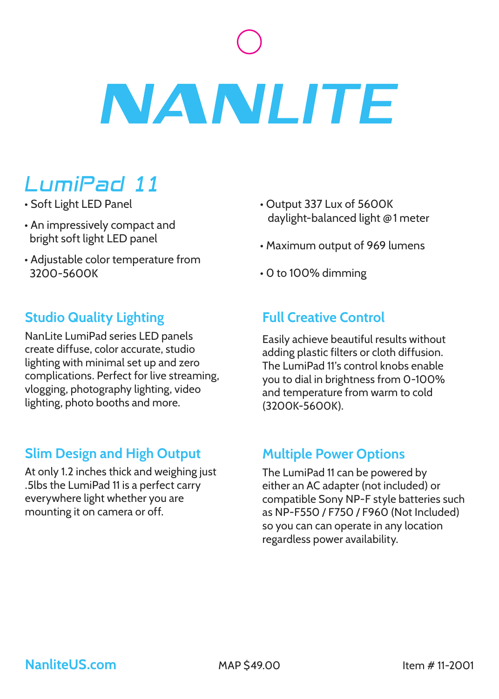# **NANLITE**

# LumiPad 11

- Soft Light LED Panel
- An impressively compact and bright soft light LED panel
- Adjustable color temperature from 3200-5600K

### **Studio Quality Lighting**

NanLite LumiPad series LED panels create diffuse, color accurate, studio lighting with minimal set up and zero complications. Perfect for live streaming, vlogging, photography lighting, video lighting, photo booths and more.

### **Slim Design and High Output**

At only 1.2 inches thick and weighing just .5lbs the LumiPad 11 is a perfect carry everywhere light whether you are mounting it on camera or off.

- Output 337 Lux of 5600K daylight-balanced light **@** 1 meter
- Maximum output of 969 lumens
- 0 to 100% dimming

## **Full Creative Control**

Easily achieve beautiful results without adding plastic filters or cloth diffusion. The LumiPad 11's control knobs enable you to dial in brightness from 0-100% and temperature from warm to cold (3200K-5600K).

### **Multiple Power Options**

The LumiPad 11 can be powered by either an AC adapter (not included) or compatible Sony NP-F style batteries such as NP-F550 / F750 / F960 (Not Included) so you can can operate in any location regardless power availability.